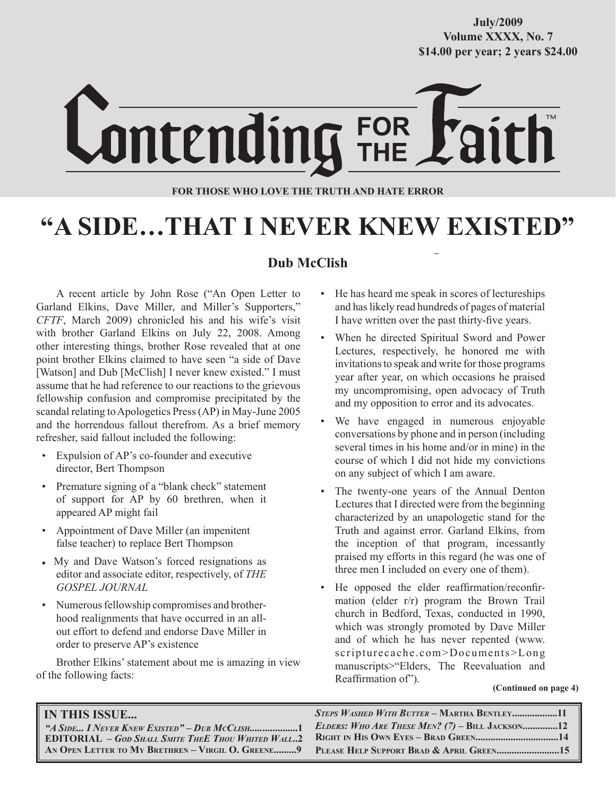## **October/2007 Volume XXXX, No. 7 Volume XXXVIII, No. 10 \$14.00 per year; 2 years \$24.00 \$14.00 per year; 2 years \$24.00 July/2009**



### **FOR THOSE WHO LOVE THE TRUTH AND HATE ERROR**

# **"A SIDE…THAT I NEVER KNEW EXISTED"**

## **Dub McClish**

A recent article by John Rose ("An Open Letter to Garland Elkins, Dave Miller, and Miller's Supporters," *CFTF*, March 2009) chronicled his and his wife's visit with brother Garland Elkins on July 22, 2008. Among other interesting things, brother Rose revealed that at one point brother Elkins claimed to have seen "a side of Dave [Watson] and Dub [McClish] I never knew existed." I must assume that he had reference to our reactions to the grievous fellowship confusion and compromise precipitated by the scandal relating to Apologetics Press (AP) in May-June 2005 and the horrendous fallout therefrom. As a brief memory refresher, said fallout included the following:

- Expulsion of AP's co-founder and executive director, Bert Thompson
- Premature signing of a "blank check" statement of support for AP by 60 brethren, when it appeared AP might fail
- Appointment of Dave Miller (an impenitent false teacher) to replace Bert Thompson
- My and Dave Watson's forced resignations as editor and associate editor, respectively, of *THE GOSPEL JOURNAL*
- Numerous fellowship compromises and brotherhood realignments that have occurred in an allout effort to defend and endorse Dave Miller in order to preserve AP's existence

Brother Elkins' statement about me is amazing in view of the following facts:

- He has heard me speak in scores of lectureships and has likely read hundreds of pages of material I have written over the past thirty-five years.
- When he directed Spiritual Sword and Power Lectures, respectively, he honored me with invitations to speak and write for those programs year after year, on which occasions he praised my uncompromising, open advocacy of Truth and my opposition to error and its advocates.
- We have engaged in numerous enjoyable conversations by phone and in person (including several times in his home and/or in mine) in the course of which I did not hide my convictions on any subject of which I am aware.
- The twenty-one years of the Annual Denton Lectures that I directed were from the beginning characterized by an unapologetic stand for the Truth and against error. Garland Elkins, from the inception of that program, incessantly praised my efforts in this regard (he was one of three men I included on every one of them).
- He opposed the elder reaffirmation/reconfirmation (elder r/r) program the Brown Trail church in Bedford, Texas, conducted in 1990, which was strongly promoted by Dave Miller and of which he has never repented (www. scripturecache.com>Documents>Long manuscripts>"Elders, The Reevaluation and Reaffirmation of").

 **(Continued on page 4)**

| <b>IN THIS ISSUE</b>                                                                                                                                                                                    | STEPS WASHED WITH BUTTER - MARTHA BENTLEY11       |
|---------------------------------------------------------------------------------------------------------------------------------------------------------------------------------------------------------|---------------------------------------------------|
| "A SIDE I NEVER KNEW EXISTED" – DUB MCCLISH1<br><b>EDITORIAL</b> - GOD SHALL SMITE THEE THOU WHITED WALL2<br>AN OPEN LETTER TO MY BRETHREN – VIRGIL O. GREENE9 PLEASE HELP SUPPORT BRAD & APRIL GREEN15 | ELDERS: WHO ARE THESE MEN? $(7)$ – BILL JACKSON12 |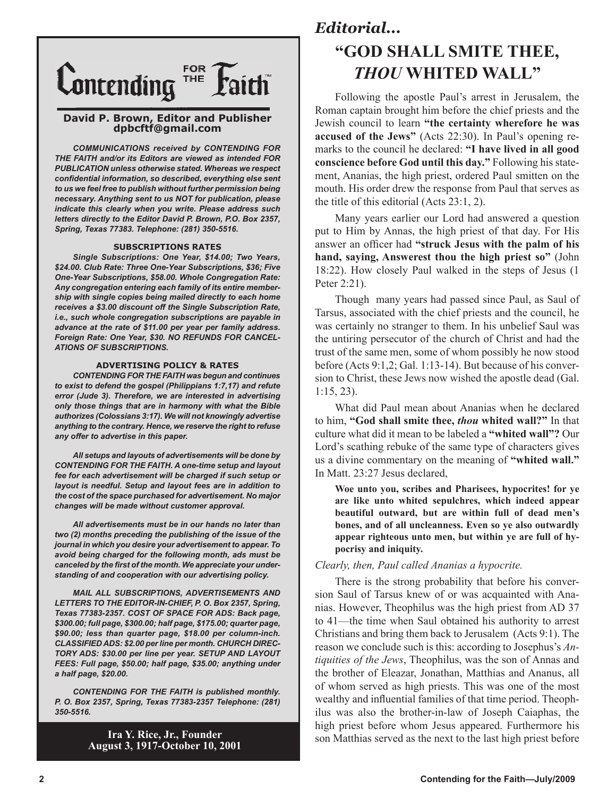

#### **David P. Brown, Editor and Publisher dpbcftf@gmail.com**

*COMMUNICATIONS received by CONTENDING FOR THE FAITH and/or its Editors are viewed as intended FOR PUBLICATION unless otherwise stated. Whereas we respect confidential information, so described, everything else sent to us we feel free to publish without further permission being necessary. Anything sent to us NOT for publication, please indicate this clearly when you write. Please address such letters directly to the Editor David P. Brown, P.O. Box 2357, Spring, Texas 77383. Telephone: (281) 350-5516.*

#### **SUBSCRIPTIONS RATES**

*Single Subscriptions: One Year, \$14.00; Two Years, \$24.00. Club Rate: Three One-Year Subscriptions, \$36; Five One-Year Subscriptions, \$58.00. Whole Congregation Rate: Any congregation entering each family of its entire membership with single copies being mailed directly to each home receives a \$3.00 discount off the Single Subscription Rate, i.e., such whole congregation subscriptions are payable in advance at the rate of \$11.00 per year per family address. Foreign Rate: One Year, \$30. NO REFUNDS FOR CANCEL-ATIONS OF SUBSCRIPTIONS.*

#### **ADVERTISING POLICY & RATES**

*CONTENDING FOR THE FAITH was begun and continues to exist to defend the gospel (Philippians 1:7,17) and refute error (Jude 3). Therefore, we are interested in advertising only those things that are in harmony with what the Bible authorizes (Colossians 3:17). We will not knowingly advertise anything to the contrary. Hence, we reserve the right to refuse any offer to advertise in this paper.*

*All setups and layouts of advertisements will be done by CONTENDING FOR THE FAITH. A one-time setup and layout fee for each advertisement will be charged if such setup or layout is needful. Setup and layout fees are in addition to the cost of the space purchased for advertisement. No major changes will be made without customer approval.*

*All advertisements must be in our hands no later than two (2) months preceding the publishing of the issue of the journal in which you desire your advertisement to appear. To avoid being charged for the following month, ads must be canceled by the first of the month. We appreciate your understanding of and cooperation with our advertising policy.*

*MAIL ALL SUBSCRIPTIONS, ADVERTISEMENTS AND LETTERS TO THE EDITOR-IN-CHIEF, P. O. Box 2357, Spring, Texas 77383-2357. COST OF SPACE FOR ADS: Back page, \$300.00; full page, \$300.00; half page, \$175.00; quarter page, \$90.00; less than quarter page, \$18.00 per column-inch. CLASSIFIED ADS: \$2.00 per line per month. CHURCH DIREC-TORY ADS: \$30.00 per line per year. SETUP AND LAYOUT FEES: Full page, \$50.00; half page, \$35.00; anything under a half page, \$20.00.*

*CONTENDING FOR THE FAITH is published monthly. P. O. Box 2357, Spring, Texas 77383-2357 Telephone: (281) 350-5516.*

> **Ira Y. Rice, Jr., Founder August 3, 1917-October 10, 2001**

## *Editorial...* **"GOD SHALL SMITE THEE,** *THOU* **WHITED WALL"**

Following the apostle Paul's arrest in Jerusalem, the Roman captain brought him before the chief priests and the Jewish council to learn **"the certainty wherefore he was accused of the Jews"** (Acts 22:30). In Paul's opening remarks to the council he declared: **"I have lived in all good conscience before God until this day."** Following his statement, Ananias, the high priest, ordered Paul smitten on the mouth. His order drew the response from Paul that serves as the title of this editorial (Acts 23:1, 2).

Many years earlier our Lord had answered a question put to Him by Annas, the high priest of that day. For His answer an officer had **"struck Jesus with the palm of his hand, saying, Answerest thou the high priest so"** (John 18:22). How closely Paul walked in the steps of Jesus (1 Peter 2:21).

Though many years had passed since Paul, as Saul of Tarsus, associated with the chief priests and the council, he was certainly no stranger to them. In his unbelief Saul was the untiring persecutor of the church of Christ and had the trust of the same men, some of whom possibly he now stood before (Acts 9:1,2; Gal. 1:13-14). But because of his conversion to Christ, these Jews now wished the apostle dead (Gal. 1:15, 23).

What did Paul mean about Ananias when he declared to him, **"God shall smite thee,** *thou* **whited wall?"** In that culture what did it mean to be labeled a **"whited wall"?** Our Lord's scathing rebuke of the same type of characters gives us a divine commentary on the meaning of **"whited wall."**  In Matt. 23:27 Jesus declared,

**Woe unto you, scribes and Pharisees, hypocrites! for ye are like unto whited sepulchres, which indeed appear beautiful outward, but are within full of dead men's bones, and of all uncleanness. Even so ye also outwardly appear righteous unto men, but within ye are full of hypocrisy and iniquity.**

### *Clearly, then, Paul called Ananias a hypocrite.*

There is the strong probability that before his conversion Saul of Tarsus knew of or was acquainted with Ananias. However, Theophilus was the high priest from AD 37 to 41—the time when Saul obtained his authority to arrest Christians and bring them back to Jerusalem (Acts 9:1). The reason we conclude such is this: according to Josephus's *Antiquities of the Jews*, Theophilus, was the son of Annas and the brother of Eleazar, Jonathan, Matthias and Ananus, all of whom served as high priests. This was one of the most wealthy and influential families of that time period. Theophilus was also the brother-in-law of Joseph Caiaphas, the high priest before whom Jesus appeared. Furthermore his son Matthias served as the next to the last high priest before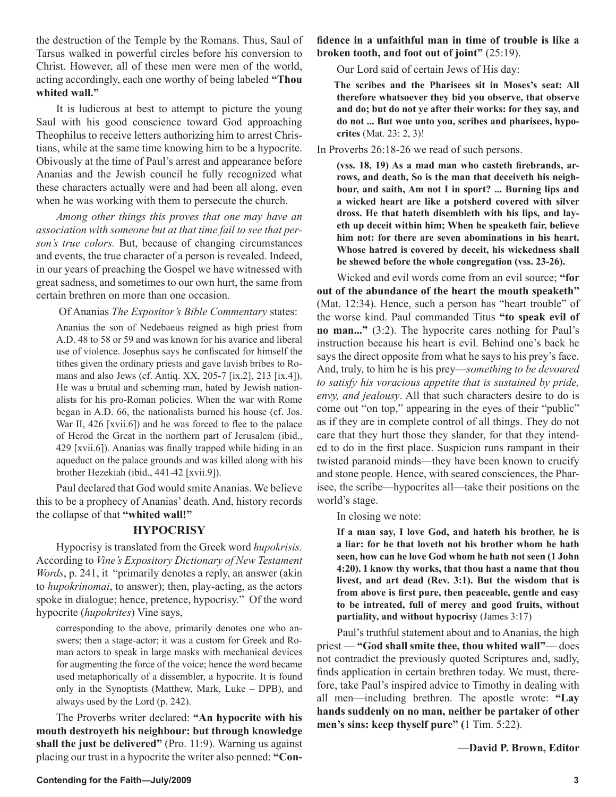the destruction of the Temple by the Romans. Thus, Saul of Tarsus walked in powerful circles before his conversion to Christ. However, all of these men were men of the world, acting accordingly, each one worthy of being labeled **"Thou whited wall."** 

It is ludicrous at best to attempt to picture the young Saul with his good conscience toward God approaching Theophilus to receive letters authorizing him to arrest Christians, while at the same time knowing him to be a hypocrite. Obivously at the time of Paul's arrest and appearance before Ananias and the Jewish council he fully recognized what these characters actually were and had been all along, even when he was working with them to persecute the church.

*Among other things this proves that one may have an association with someone but at that time fail to see that person's true colors.* But, because of changing circumstances and events, the true character of a person is revealed. Indeed, in our years of preaching the Gospel we have witnessed with great sadness, and sometimes to our own hurt, the same from certain brethren on more than one occasion.

Of Ananias *The Expositor's Bible Commentary* states:

Ananias the son of Nedebaeus reigned as high priest from A.D. 48 to 58 or 59 and was known for his avarice and liberal use of violence. Josephus says he confiscated for himself the tithes given the ordinary priests and gave lavish bribes to Romans and also Jews (cf. Antiq. XX, 205-7 [ix.2], 213 [ix.4]). He was a brutal and scheming man, hated by Jewish nationalists for his pro-Roman policies. When the war with Rome began in A.D. 66, the nationalists burned his house (cf. Jos. War II, 426 [xvii.6]) and he was forced to flee to the palace of Herod the Great in the northern part of Jerusalem (ibid., 429 [xvii.6]). Ananias was finally trapped while hiding in an aqueduct on the palace grounds and was killed along with his brother Hezekiah (ibid., 441-42 [xvii.9]).

Paul declared that God would smite Ananias. We believe this to be a prophecy of Ananias' death. And, history records the collapse of that **"whited wall!"**

### **HYPOCRISY**

Hypocrisy is translated from the Greek word *hupokrisis.* According to *Vine's Expository Dictionary of New Testament Words*, p. 241, it "primarily denotes a reply, an answer (akin to *hupokrinomai*, to answer); then, play-acting, as the actors spoke in dialogue; hence, pretence, hypocrisy." Of the word hypocrite (*hupokrites*) Vine says,

corresponding to the above, primarily denotes one who answers; then a stage-actor; it was a custom for Greek and Roman actors to speak in large masks with mechanical devices for augmenting the force of the voice; hence the word became used metaphorically of a dissembler, a hypocrite. It is found only in the Synoptists (Matthew, Mark, Luke – DPB), and always used by the Lord (p. 242).

The Proverbs writer declared: **"An hypocrite with his mouth destroyeth his neighbour: but through knowledge shall the just be delivered"** (Pro. 11:9). Warning us against placing our trust in a hypocrite the writer also penned: **"Con-** **fidence in a unfaithful man in time of trouble is like a broken tooth, and foot out of joint"** (25:19).

Our Lord said of certain Jews of His day:

**The scribes and the Pharisees sit in Moses's seat: All therefore whatsoever they bid you observe, that observe and do; but do not ye after their works: for they say, and do not ... But woe unto you, scribes and pharisees, hypocrites** (Mat. 23: 2, 3)!

In Proverbs 26:18-26 we read of such persons.

**(vss. 18, 19) As a mad man who casteth firebrands, arrows, and death, So is the man that deceiveth his neighbour, and saith, Am not I in sport? ... Burning lips and a wicked heart are like a potsherd covered with silver dross. He that hateth disembleth with his lips, and layeth up deceit within him; When he speaketh fair, believe him not: for there are seven abominations in his heart. Whose hatred is covered by deceit, his wickedness shall be shewed before the whole congregation (vss. 23-26).**

Wicked and evil words come from an evil source; **"for out of the abundance of the heart the mouth speaketh"** (Mat. 12:34). Hence, such a person has "heart trouble" of the worse kind. Paul commanded Titus **"to speak evil of no man..."** (3:2). The hypocrite cares nothing for Paul's instruction because his heart is evil. Behind one's back he says the direct opposite from what he says to his prey's face. And, truly, to him he is his prey—*something to be devoured to satisfy his voracious appetite that is sustained by pride, envy, and jealousy*. All that such characters desire to do is come out "on top," appearing in the eyes of their "public" as if they are in complete control of all things. They do not care that they hurt those they slander, for that they intended to do in the first place. Suspicion runs rampant in their twisted paranoid minds—they have been known to crucify and stone people. Hence, with seared consciences, the Pharisee, the scribe—hypocrites all—take their positions on the world's stage.

In closing we note:

**If a man say, I love God, and hateth his brother, he is a liar: for he that loveth not his brother whom he hath seen, how can he love God whom he hath not seen (1 John 4:20). I know thy works, that thou hast a name that thou livest, and art dead (Rev. 3:1). But the wisdom that is from above is first pure, then peaceable, gentle and easy to be intreated, full of mercy and good fruits, without partiality, and without hypocrisy** (James 3:17)

Paul's truthful statement about and to Ananias, the high priest — **"God shall smite thee, thou whited wall"**— does not contradict the previously quoted Scriptures and, sadly, finds application in certain brethren today. We must, therefore, take Paul's inspired advice to Timothy in dealing with all men—including brethren. The apostle wrote: **"Lay hands suddenly on no man, neither be partaker of other men's sins: keep thyself pure" (**1 Tim. 5:22).

**—David P. Brown, Editor**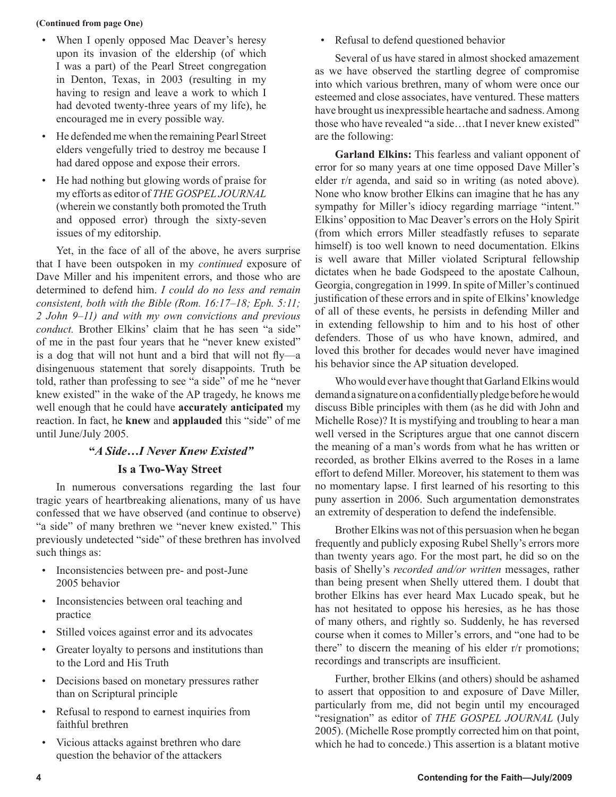#### **(Continued from page One)**

- When I openly opposed Mac Deaver's heresy upon its invasion of the eldership (of which I was a part) of the Pearl Street congregation in Denton, Texas, in 2003 (resulting in my having to resign and leave a work to which I had devoted twenty-three years of my life), he encouraged me in every possible way.
- He defended me when the remaining Pearl Street elders vengefully tried to destroy me because I had dared oppose and expose their errors.
- He had nothing but glowing words of praise for my efforts as editor of *THE GOSPEL JOURNAL* (wherein we constantly both promoted the Truth and opposed error) through the sixty-seven issues of my editorship.

Yet, in the face of all of the above, he avers surprise that I have been outspoken in my *continued* exposure of Dave Miller and his impenitent errors, and those who are determined to defend him. *I could do no less and remain consistent, both with the Bible (Rom. 16:17–18; Eph. 5:11; 2 John 9–11) and with my own convictions and previous conduct.* Brother Elkins' claim that he has seen "a side" of me in the past four years that he "never knew existed" is a dog that will not hunt and a bird that will not fly—a disingenuous statement that sorely disappoints. Truth be told, rather than professing to see "a side" of me he "never knew existed" in the wake of the AP tragedy, he knows me well enough that he could have **accurately anticipated** my reaction. In fact, he **knew** and **applauded** this "side" of me until June/July 2005.

## **"***A Side…I Never Knew Existed"*

### **Is a Two-Way Street**

In numerous conversations regarding the last four tragic years of heartbreaking alienations, many of us have confessed that we have observed (and continue to observe) "a side" of many brethren we "never knew existed." This previously undetected "side" of these brethren has involved such things as:

- Inconsistencies between pre- and post-June 2005 behavior
- Inconsistencies between oral teaching and practice
- Stilled voices against error and its advocates
- Greater loyalty to persons and institutions than to the Lord and His Truth
- Decisions based on monetary pressures rather than on Scriptural principle
- Refusal to respond to earnest inquiries from faithful brethren
- Vicious attacks against brethren who dare question the behavior of the attackers

• Refusal to defend questioned behavior

Several of us have stared in almost shocked amazement as we have observed the startling degree of compromise into which various brethren, many of whom were once our esteemed and close associates, have ventured. These matters have brought us inexpressible heartache and sadness. Among those who have revealed "a side…that I never knew existed" are the following:

**Garland Elkins:** This fearless and valiant opponent of error for so many years at one time opposed Dave Miller's elder r/r agenda, and said so in writing (as noted above). None who know brother Elkins can imagine that he has any sympathy for Miller's idiocy regarding marriage "intent." Elkins' opposition to Mac Deaver's errors on the Holy Spirit (from which errors Miller steadfastly refuses to separate himself) is too well known to need documentation. Elkins is well aware that Miller violated Scriptural fellowship dictates when he bade Godspeed to the apostate Calhoun, Georgia, congregation in 1999. In spite of Miller's continued justification of these errors and in spite of Elkins' knowledge of all of these events, he persists in defending Miller and in extending fellowship to him and to his host of other defenders. Those of us who have known, admired, and loved this brother for decades would never have imagined his behavior since the AP situation developed.

Who would ever have thought that Garland Elkins would demand a signature on a confidentially pledge before he would discuss Bible principles with them (as he did with John and Michelle Rose)? It is mystifying and troubling to hear a man well versed in the Scriptures argue that one cannot discern the meaning of a man's words from what he has written or recorded, as brother Elkins averred to the Roses in a lame effort to defend Miller. Moreover, his statement to them was no momentary lapse. I first learned of his resorting to this puny assertion in 2006. Such argumentation demonstrates an extremity of desperation to defend the indefensible.

Brother Elkins was not of this persuasion when he began frequently and publicly exposing Rubel Shelly's errors more than twenty years ago. For the most part, he did so on the basis of Shelly's *recorded and/or written* messages, rather than being present when Shelly uttered them. I doubt that brother Elkins has ever heard Max Lucado speak, but he has not hesitated to oppose his heresies, as he has those of many others, and rightly so. Suddenly, he has reversed course when it comes to Miller's errors, and "one had to be there" to discern the meaning of his elder r/r promotions; recordings and transcripts are insufficient.

Further, brother Elkins (and others) should be ashamed to assert that opposition to and exposure of Dave Miller, particularly from me, did not begin until my encouraged "resignation" as editor of *THE GOSPEL JOURNAL* (July 2005). (Michelle Rose promptly corrected him on that point, which he had to concede.) This assertion is a blatant motive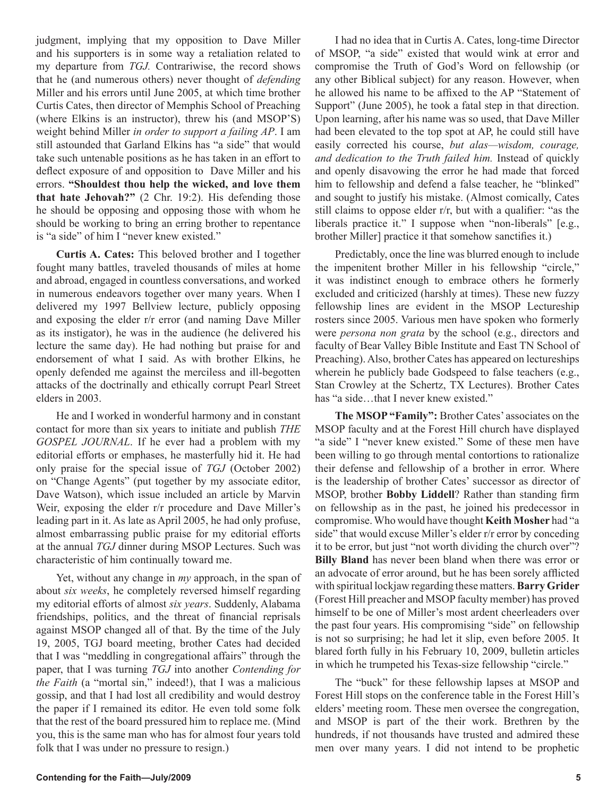judgment, implying that my opposition to Dave Miller and his supporters is in some way a retaliation related to my departure from *TGJ.* Contrariwise, the record shows that he (and numerous others) never thought of *defending* Miller and his errors until June 2005, at which time brother Curtis Cates, then director of Memphis School of Preaching (where Elkins is an instructor), threw his (and MSOP'S) weight behind Miller *in order to support a failing AP*. I am still astounded that Garland Elkins has "a side" that would take such untenable positions as he has taken in an effort to deflect exposure of and opposition to Dave Miller and his errors. **"Shouldest thou help the wicked, and love them that hate Jehovah?"** (2 Chr. 19:2). His defending those he should be opposing and opposing those with whom he should be working to bring an erring brother to repentance is "a side" of him I "never knew existed."

**Curtis A. Cates:** This beloved brother and I together fought many battles, traveled thousands of miles at home and abroad, engaged in countless conversations, and worked in numerous endeavors together over many years. When I delivered my 1997 Bellview lecture, publicly opposing and exposing the elder r/r error (and naming Dave Miller as its instigator), he was in the audience (he delivered his lecture the same day). He had nothing but praise for and endorsement of what I said. As with brother Elkins, he openly defended me against the merciless and ill-begotten attacks of the doctrinally and ethically corrupt Pearl Street elders in 2003.

He and I worked in wonderful harmony and in constant contact for more than six years to initiate and publish *THE GOSPEL JOURNAL*. If he ever had a problem with my editorial efforts or emphases, he masterfully hid it. He had only praise for the special issue of *TGJ* (October 2002) on "Change Agents" (put together by my associate editor, Dave Watson), which issue included an article by Marvin Weir, exposing the elder r/r procedure and Dave Miller's leading part in it. As late as April 2005, he had only profuse, almost embarrassing public praise for my editorial efforts at the annual *TGJ* dinner during MSOP Lectures. Such was characteristic of him continually toward me.

Yet, without any change in *my* approach, in the span of about *six weeks*, he completely reversed himself regarding my editorial efforts of almost *six years*. Suddenly, Alabama friendships, politics, and the threat of financial reprisals against MSOP changed all of that. By the time of the July 19, 2005, TGJ board meeting, brother Cates had decided that I was "meddling in congregational affairs" through the paper, that I was turning *TGJ* into another *Contending for the Faith* (a "mortal sin," indeed!), that I was a malicious gossip, and that I had lost all credibility and would destroy the paper if I remained its editor. He even told some folk that the rest of the board pressured him to replace me. (Mind you, this is the same man who has for almost four years told folk that I was under no pressure to resign.)

I had no idea that in Curtis A. Cates, long-time Director of MSOP, "a side" existed that would wink at error and compromise the Truth of God's Word on fellowship (or any other Biblical subject) for any reason. However, when he allowed his name to be affixed to the AP "Statement of Support" (June 2005), he took a fatal step in that direction. Upon learning, after his name was so used, that Dave Miller had been elevated to the top spot at AP, he could still have easily corrected his course, *but alas—wisdom, courage, and dedication to the Truth failed him.* Instead of quickly and openly disavowing the error he had made that forced him to fellowship and defend a false teacher, he "blinked" and sought to justify his mistake. (Almost comically, Cates still claims to oppose elder r/r, but with a qualifier: "as the liberals practice it." I suppose when "non-liberals" [e.g., brother Miller] practice it that somehow sanctifies it.)

Predictably, once the line was blurred enough to include the impenitent brother Miller in his fellowship "circle," it was indistinct enough to embrace others he formerly excluded and criticized (harshly at times). These new fuzzy fellowship lines are evident in the MSOP Lectureship rosters since 2005. Various men have spoken who formerly were *persona non grata* by the school (e.g., directors and faculty of Bear Valley Bible Institute and East TN School of Preaching). Also, brother Cates has appeared on lectureships wherein he publicly bade Godspeed to false teachers (e.g., Stan Crowley at the Schertz, TX Lectures). Brother Cates has "a side…that I never knew existed."

**The MSOP "Family":** Brother Cates' associates on the MSOP faculty and at the Forest Hill church have displayed "a side" I "never knew existed." Some of these men have been willing to go through mental contortions to rationalize their defense and fellowship of a brother in error. Where is the leadership of brother Cates' successor as director of MSOP, brother **Bobby Liddell**? Rather than standing firm on fellowship as in the past, he joined his predecessor in compromise. Who would have thought **Keith Mosher** had "a side" that would excuse Miller's elder r/r error by conceding it to be error, but just "not worth dividing the church over"? **Billy Bland** has never been bland when there was error or an advocate of error around, but he has been sorely afflicted with spiritual lockjaw regarding these matters. **Barry Grider**  (Forest Hill preacher and MSOP faculty member) has proved himself to be one of Miller's most ardent cheerleaders over the past four years. His compromising "side" on fellowship is not so surprising; he had let it slip, even before 2005. It blared forth fully in his February 10, 2009, bulletin articles in which he trumpeted his Texas-size fellowship "circle."

The "buck" for these fellowship lapses at MSOP and Forest Hill stops on the conference table in the Forest Hill's elders' meeting room. These men oversee the congregation, and MSOP is part of the their work. Brethren by the hundreds, if not thousands have trusted and admired these men over many years. I did not intend to be prophetic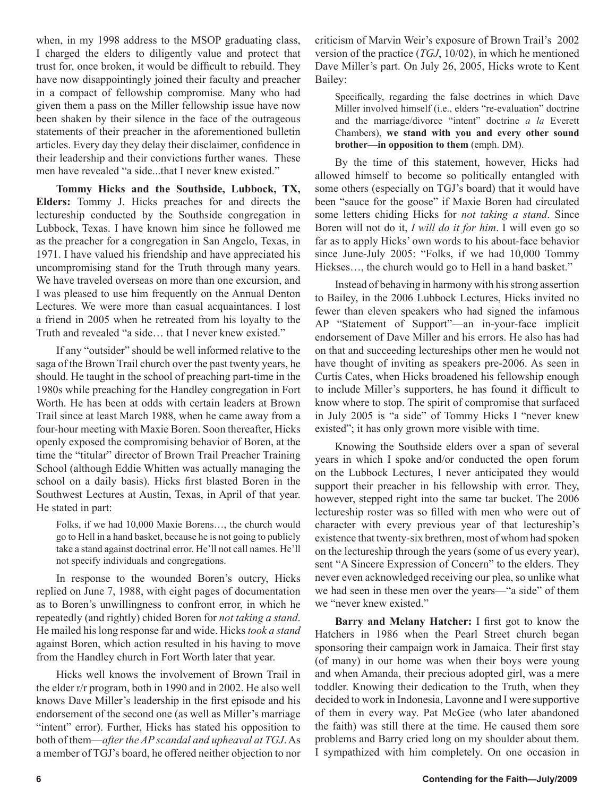when, in my 1998 address to the MSOP graduating class, I charged the elders to diligently value and protect that trust for, once broken, it would be difficult to rebuild. They have now disappointingly joined their faculty and preacher in a compact of fellowship compromise. Many who had given them a pass on the Miller fellowship issue have now been shaken by their silence in the face of the outrageous statements of their preacher in the aforementioned bulletin articles. Every day they delay their disclaimer, confidence in their leadership and their convictions further wanes. These men have revealed "a side...that I never knew existed."

**Tommy Hicks and the Southside, Lubbock, TX, Elders:** Tommy J. Hicks preaches for and directs the lectureship conducted by the Southside congregation in Lubbock, Texas. I have known him since he followed me as the preacher for a congregation in San Angelo, Texas, in 1971. I have valued his friendship and have appreciated his uncompromising stand for the Truth through many years. We have traveled overseas on more than one excursion, and I was pleased to use him frequently on the Annual Denton Lectures. We were more than casual acquaintances. I lost a friend in 2005 when he retreated from his loyalty to the Truth and revealed "a side… that I never knew existed."

If any "outsider" should be well informed relative to the saga of the Brown Trail church over the past twenty years, he should. He taught in the school of preaching part-time in the 1980s while preaching for the Handley congregation in Fort Worth. He has been at odds with certain leaders at Brown Trail since at least March 1988, when he came away from a four-hour meeting with Maxie Boren. Soon thereafter, Hicks openly exposed the compromising behavior of Boren, at the time the "titular" director of Brown Trail Preacher Training School (although Eddie Whitten was actually managing the school on a daily basis). Hicks first blasted Boren in the Southwest Lectures at Austin, Texas, in April of that year. He stated in part:

Folks, if we had 10,000 Maxie Borens…, the church would go to Hell in a hand basket, because he is not going to publicly take a stand against doctrinal error. He'll not call names. He'll not specify individuals and congregations.

In response to the wounded Boren's outcry, Hicks replied on June 7, 1988, with eight pages of documentation as to Boren's unwillingness to confront error, in which he repeatedly (and rightly) chided Boren for *not taking a stand*. He mailed his long response far and wide. Hicks *took a stand*  against Boren, which action resulted in his having to move from the Handley church in Fort Worth later that year.

Hicks well knows the involvement of Brown Trail in the elder r/r program, both in 1990 and in 2002. He also well knows Dave Miller's leadership in the first episode and his endorsement of the second one (as well as Miller's marriage "intent" error). Further, Hicks has stated his opposition to both of them—*after the AP scandal and upheaval at TGJ*. As a member of TGJ's board, he offered neither objection to nor criticism of Marvin Weir's exposure of Brown Trail's 2002 version of the practice (*TGJ*, 10/02), in which he mentioned Dave Miller's part. On July 26, 2005, Hicks wrote to Kent Bailey:

Specifically, regarding the false doctrines in which Dave Miller involved himself (i.e., elders "re-evaluation" doctrine and the marriage/divorce "intent" doctrine *a la* Everett Chambers), **we stand with you and every other sound brother—in opposition to them** (emph. DM).

By the time of this statement, however, Hicks had allowed himself to become so politically entangled with some others (especially on TGJ's board) that it would have been "sauce for the goose" if Maxie Boren had circulated some letters chiding Hicks for *not taking a stand*. Since Boren will not do it, *I will do it for him*. I will even go so far as to apply Hicks' own words to his about-face behavior since June-July 2005: "Folks, if we had 10,000 Tommy Hickses…, the church would go to Hell in a hand basket."

Instead of behaving in harmony with his strong assertion to Bailey, in the 2006 Lubbock Lectures, Hicks invited no fewer than eleven speakers who had signed the infamous AP "Statement of Support"—an in-your-face implicit endorsement of Dave Miller and his errors. He also has had on that and succeeding lectureships other men he would not have thought of inviting as speakers pre-2006. As seen in Curtis Cates, when Hicks broadened his fellowship enough to include Miller's supporters, he has found it difficult to know where to stop. The spirit of compromise that surfaced in July 2005 is "a side" of Tommy Hicks I "never knew existed"; it has only grown more visible with time.

Knowing the Southside elders over a span of several years in which I spoke and/or conducted the open forum on the Lubbock Lectures, I never anticipated they would support their preacher in his fellowship with error. They, however, stepped right into the same tar bucket. The 2006 lectureship roster was so filled with men who were out of character with every previous year of that lectureship's existence that twenty-six brethren, most of whom had spoken on the lectureship through the years (some of us every year), sent "A Sincere Expression of Concern" to the elders. They never even acknowledged receiving our plea, so unlike what we had seen in these men over the years—"a side" of them we "never knew existed."

**Barry and Melany Hatcher:** I first got to know the Hatchers in 1986 when the Pearl Street church began sponsoring their campaign work in Jamaica. Their first stay (of many) in our home was when their boys were young and when Amanda, their precious adopted girl, was a mere toddler. Knowing their dedication to the Truth, when they decided to work in Indonesia, Lavonne and I were supportive of them in every way. Pat McGee (who later abandoned the faith) was still there at the time. He caused them sore problems and Barry cried long on my shoulder about them. I sympathized with him completely. On one occasion in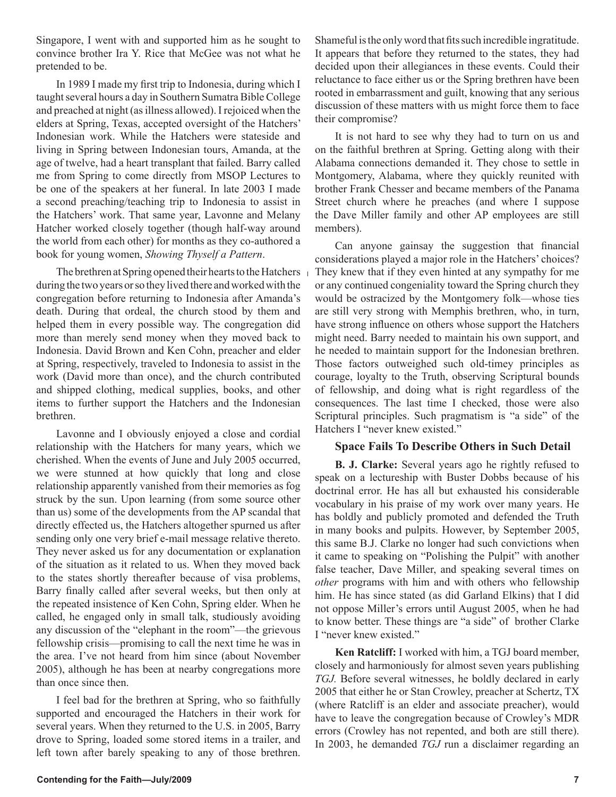Singapore, I went with and supported him as he sought to convince brother Ira Y. Rice that McGee was not what he pretended to be.

In 1989 I made my first trip to Indonesia, during which I taught several hours a day in Southern Sumatra Bible College and preached at night (as illness allowed). I rejoiced when the elders at Spring, Texas, accepted oversight of the Hatchers' Indonesian work. While the Hatchers were stateside and living in Spring between Indonesian tours, Amanda, at the age of twelve, had a heart transplant that failed. Barry called me from Spring to come directly from MSOP Lectures to be one of the speakers at her funeral. In late 2003 I made a second preaching/teaching trip to Indonesia to assist in the Hatchers' work. That same year, Lavonne and Melany Hatcher worked closely together (though half-way around the world from each other) for months as they co-authored a book for young women, *Showing Thyself a Pattern*.

during the two years or so they lived there and worked with the congregation before returning to Indonesia after Amanda's death. During that ordeal, the church stood by them and helped them in every possible way. The congregation did more than merely send money when they moved back to Indonesia. David Brown and Ken Cohn, preacher and elder at Spring, respectively, traveled to Indonesia to assist in the work (David more than once), and the church contributed and shipped clothing, medical supplies, books, and other items to further support the Hatchers and the Indonesian brethren.

Lavonne and I obviously enjoyed a close and cordial relationship with the Hatchers for many years, which we cherished. When the events of June and July 2005 occurred, we were stunned at how quickly that long and close relationship apparently vanished from their memories as fog struck by the sun. Upon learning (from some source other than us) some of the developments from the AP scandal that directly effected us, the Hatchers altogether spurned us after sending only one very brief e-mail message relative thereto. They never asked us for any documentation or explanation of the situation as it related to us. When they moved back to the states shortly thereafter because of visa problems, Barry finally called after several weeks, but then only at the repeated insistence of Ken Cohn, Spring elder. When he called, he engaged only in small talk, studiously avoiding any discussion of the "elephant in the room"—the grievous fellowship crisis—promising to call the next time he was in the area. I've not heard from him since (about November 2005), although he has been at nearby congregations more than once since then.

I feel bad for the brethren at Spring, who so faithfully supported and encouraged the Hatchers in their work for several years. When they returned to the U.S. in 2005, Barry drove to Spring, loaded some stored items in a trailer, and left town after barely speaking to any of those brethren.

Shameful is the only word that fits such incredible ingratitude. It appears that before they returned to the states, they had decided upon their allegiances in these events. Could their reluctance to face either us or the Spring brethren have been rooted in embarrassment and guilt, knowing that any serious discussion of these matters with us might force them to face their compromise?

It is not hard to see why they had to turn on us and on the faithful brethren at Spring. Getting along with their Alabama connections demanded it. They chose to settle in Montgomery, Alabama, where they quickly reunited with brother Frank Chesser and became members of the Panama Street church where he preaches (and where I suppose the Dave Miller family and other AP employees are still members).

The brethren at Spring opened their hearts to the Hatchers They knew that if they even hinted at any sympathy for me Can anyone gainsay the suggestion that financial considerations played a major role in the Hatchers' choices? or any continued congeniality toward the Spring church they would be ostracized by the Montgomery folk—whose ties are still very strong with Memphis brethren, who, in turn, have strong influence on others whose support the Hatchers might need. Barry needed to maintain his own support, and he needed to maintain support for the Indonesian brethren. Those factors outweighed such old-timey principles as courage, loyalty to the Truth, observing Scriptural bounds of fellowship, and doing what is right regardless of the consequences. The last time I checked, those were also Scriptural principles. Such pragmatism is "a side" of the Hatchers I "never knew existed."

### **Space Fails To Describe Others in Such Detail**

**B. J. Clarke:** Several years ago he rightly refused to speak on a lectureship with Buster Dobbs because of his doctrinal error. He has all but exhausted his considerable vocabulary in his praise of my work over many years. He has boldly and publicly promoted and defended the Truth in many books and pulpits. However, by September 2005, this same B.J. Clarke no longer had such convictions when it came to speaking on "Polishing the Pulpit" with another false teacher, Dave Miller, and speaking several times on *other* programs with him and with others who fellowship him. He has since stated (as did Garland Elkins) that I did not oppose Miller's errors until August 2005, when he had to know better. These things are "a side" of brother Clarke I "never knew existed."

**Ken Ratcliff:** I worked with him, a TGJ board member, closely and harmoniously for almost seven years publishing *TGJ.* Before several witnesses, he boldly declared in early 2005 that either he or Stan Crowley, preacher at Schertz, TX (where Ratcliff is an elder and associate preacher), would have to leave the congregation because of Crowley's MDR errors (Crowley has not repented, and both are still there). In 2003, he demanded *TGJ* run a disclaimer regarding an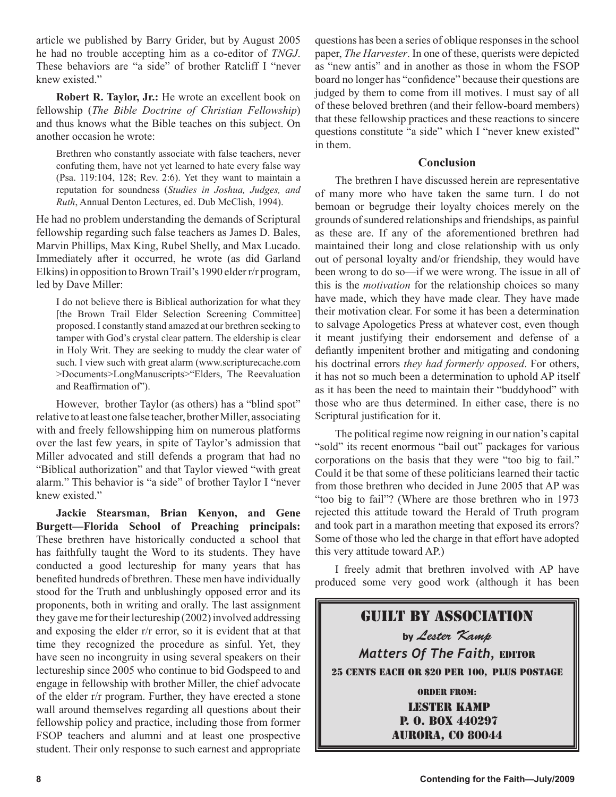article we published by Barry Grider, but by August 2005 he had no trouble accepting him as a co-editor of *TNGJ*. These behaviors are "a side" of brother Ratcliff I "never knew existed."

**Robert R. Taylor, Jr.:** He wrote an excellent book on fellowship (*The Bible Doctrine of Christian Fellowship*) and thus knows what the Bible teaches on this subject. On another occasion he wrote:

Brethren who constantly associate with false teachers, never confuting them, have not yet learned to hate every false way (Psa. 119:104, 128; Rev. 2:6). Yet they want to maintain a reputation for soundness (*Studies in Joshua, Judges, and Ruth*, Annual Denton Lectures, ed. Dub McClish, 1994).

He had no problem understanding the demands of Scriptural fellowship regarding such false teachers as James D. Bales, Marvin Phillips, Max King, Rubel Shelly, and Max Lucado. Immediately after it occurred, he wrote (as did Garland Elkins) in opposition to Brown Trail's 1990 elder r/r program, led by Dave Miller:

I do not believe there is Biblical authorization for what they [the Brown Trail Elder Selection Screening Committee] proposed. I constantly stand amazed at our brethren seeking to tamper with God's crystal clear pattern. The eldership is clear in Holy Writ. They are seeking to muddy the clear water of such. I view such with great alarm (www.scripturecache.com >Documents>LongManuscripts>"Elders, The Reevaluation and Reaffirmation of").

However, brother Taylor (as others) has a "blind spot" relative to at least one false teacher, brother Miller, associating with and freely fellowshipping him on numerous platforms over the last few years, in spite of Taylor's admission that Miller advocated and still defends a program that had no "Biblical authorization" and that Taylor viewed "with great alarm." This behavior is "a side" of brother Taylor I "never knew existed."

**Jackie Stearsman, Brian Kenyon, and Gene Burgett—Florida School of Preaching principals:** These brethren have historically conducted a school that has faithfully taught the Word to its students. They have conducted a good lectureship for many years that has benefited hundreds of brethren. These men have individually stood for the Truth and unblushingly opposed error and its proponents, both in writing and orally. The last assignment they gave me for their lectureship (2002) involved addressing and exposing the elder r/r error, so it is evident that at that time they recognized the procedure as sinful. Yet, they have seen no incongruity in using several speakers on their lectureship since 2005 who continue to bid Godspeed to and engage in fellowship with brother Miller, the chief advocate of the elder r/r program. Further, they have erected a stone wall around themselves regarding all questions about their fellowship policy and practice, including those from former FSOP teachers and alumni and at least one prospective student. Their only response to such earnest and appropriate

questions has been a series of oblique responses in the school paper, *The Harvester*. In one of these, querists were depicted as "new antis" and in another as those in whom the FSOP board no longer has "confidence" because their questions are judged by them to come from ill motives. I must say of all of these beloved brethren (and their fellow-board members) that these fellowship practices and these reactions to sincere questions constitute "a side" which I "never knew existed" in them.

### **Conclusion**

The brethren I have discussed herein are representative of many more who have taken the same turn. I do not bemoan or begrudge their loyalty choices merely on the grounds of sundered relationships and friendships, as painful as these are. If any of the aforementioned brethren had maintained their long and close relationship with us only out of personal loyalty and/or friendship, they would have been wrong to do so—if we were wrong. The issue in all of this is the *motivation* for the relationship choices so many have made, which they have made clear. They have made their motivation clear. For some it has been a determination to salvage Apologetics Press at whatever cost, even though it meant justifying their endorsement and defense of a defiantly impenitent brother and mitigating and condoning his doctrinal errors *they had formerly opposed*. For others, it has not so much been a determination to uphold AP itself as it has been the need to maintain their "buddyhood" with those who are thus determined. In either case, there is no Scriptural justification for it.

The political regime now reigning in our nation's capital "sold" its recent enormous "bail out" packages for various corporations on the basis that they were "too big to fail." Could it be that some of these politicians learned their tactic from those brethren who decided in June 2005 that AP was "too big to fail"? (Where are those brethren who in 1973 rejected this attitude toward the Herald of Truth program and took part in a marathon meeting that exposed its errors? Some of those who led the charge in that effort have adopted this very attitude toward AP.)

I freely admit that brethren involved with AP have produced some very good work (although it has been

## Guilt By Association **by** Lester Kamp *Matters Of The Faith,* EDITOR 25 CENTS EACH OR \$20 PER 100, PLUS POSTAGE Order from: Lester Kamp

 P. O. Box 440297 aurora, co 80044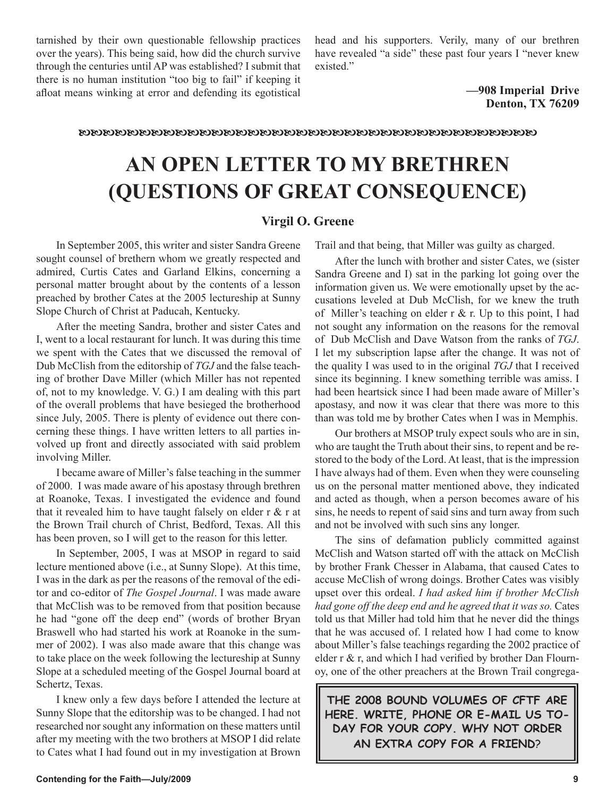tarnished by their own questionable fellowship practices over the years). This being said, how did the church survive through the centuries until AP was established? I submit that there is no human institution "too big to fail" if keeping it afloat means winking at error and defending its egotistical

head and his supporters. Verily, many of our brethren have revealed "a side" these past four years I "never knew existed."

> **—908 Imperial Drive Denton, TX 76209**

#### 

# **AN OPEN LETTER TO MY BRETHREN (QUESTIONS OF GREAT CONSEQUENCE)**

### **Virgil O. Greene**

In September 2005, this writer and sister Sandra Greene sought counsel of brethern whom we greatly respected and admired, Curtis Cates and Garland Elkins, concerning a personal matter brought about by the contents of a lesson preached by brother Cates at the 2005 lectureship at Sunny Slope Church of Christ at Paducah, Kentucky.

After the meeting Sandra, brother and sister Cates and I, went to a local restaurant for lunch. It was during this time we spent with the Cates that we discussed the removal of Dub McClish from the editorship of *TGJ* and the false teaching of brother Dave Miller (which Miller has not repented of, not to my knowledge. V. G.) I am dealing with this part of the overall problems that have besieged the brotherhood since July, 2005. There is plenty of evidence out there concerning these things. I have written letters to all parties involved up front and directly associated with said problem involving Miller.

I became aware of Miller's false teaching in the summer of 2000. I was made aware of his apostasy through brethren at Roanoke, Texas. I investigated the evidence and found that it revealed him to have taught falsely on elder  $r \& r$  at the Brown Trail church of Christ, Bedford, Texas. All this has been proven, so I will get to the reason for this letter.

In September, 2005, I was at MSOP in regard to said lecture mentioned above (i.e., at Sunny Slope). At this time, I was in the dark as per the reasons of the removal of the editor and co-editor of *The Gospel Journal*. I was made aware that McClish was to be removed from that position because he had "gone off the deep end" (words of brother Bryan Braswell who had started his work at Roanoke in the summer of 2002). I was also made aware that this change was to take place on the week following the lectureship at Sunny Slope at a scheduled meeting of the Gospel Journal board at Schertz, Texas.

I knew only a few days before I attended the lecture at Sunny Slope that the editorship was to be changed. I had not researched nor sought any information on these matters until after my meeting with the two brothers at MSOP I did relate to Cates what I had found out in my investigation at Brown Trail and that being, that Miller was guilty as charged.

After the lunch with brother and sister Cates, we (sister Sandra Greene and I) sat in the parking lot going over the information given us. We were emotionally upset by the accusations leveled at Dub McClish, for we knew the truth of Miller's teaching on elder  $r \& r$ . Up to this point, I had not sought any information on the reasons for the removal of Dub McClish and Dave Watson from the ranks of *TGJ*. I let my subscription lapse after the change. It was not of the quality I was used to in the original *TGJ* that I received since its beginning. I knew something terrible was amiss. I had been heartsick since I had been made aware of Miller's apostasy, and now it was clear that there was more to this than was told me by brother Cates when I was in Memphis.

Our brothers at MSOP truly expect souls who are in sin, who are taught the Truth about their sins, to repent and be restored to the body of the Lord. At least, that is the impression I have always had of them. Even when they were counseling us on the personal matter mentioned above, they indicated and acted as though, when a person becomes aware of his sins, he needs to repent of said sins and turn away from such and not be involved with such sins any longer.

The sins of defamation publicly committed against McClish and Watson started off with the attack on McClish by brother Frank Chesser in Alabama, that caused Cates to accuse McClish of wrong doings. Brother Cates was visibly upset over this ordeal. *I had asked him if brother McClish had gone off the deep end and he agreed that it was so.* Cates told us that Miller had told him that he never did the things that he was accused of. I related how I had come to know about Miller's false teachings regarding the 2002 practice of elder r & r, and which I had verified by brother Dan Flournoy, one of the other preachers at the Brown Trail congrega-

**THE 2008 BOUND VOLUMES OF CFTF ARE HERE. WRITE, PHONE OR E-MAIL US TO-DAY FOR YOUR COPY. WHY NOT ORDER AN EXTRA COPY FOR A FRIEND**?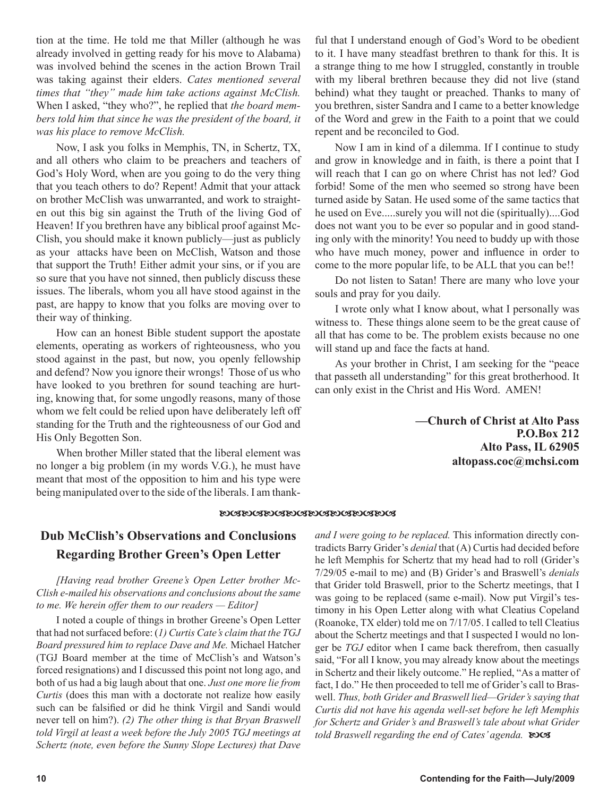tion at the time. He told me that Miller (although he was already involved in getting ready for his move to Alabama) was involved behind the scenes in the action Brown Trail was taking against their elders. *Cates mentioned several times that "they" made him take actions against McClish.*  When I asked, "they who?", he replied that *the board members told him that since he was the president of the board, it was his place to remove McClish.*

Now, I ask you folks in Memphis, TN, in Schertz, TX, and all others who claim to be preachers and teachers of God's Holy Word, when are you going to do the very thing that you teach others to do? Repent! Admit that your attack on brother McClish was unwarranted, and work to straighten out this big sin against the Truth of the living God of Heaven! If you brethren have any biblical proof against Mc-Clish, you should make it known publicly—just as publicly as your attacks have been on McClish, Watson and those that support the Truth! Either admit your sins, or if you are so sure that you have not sinned, then publicly discuss these issues. The liberals, whom you all have stood against in the past, are happy to know that you folks are moving over to their way of thinking.

How can an honest Bible student support the apostate elements, operating as workers of righteousness, who you stood against in the past, but now, you openly fellowship and defend? Now you ignore their wrongs! Those of us who have looked to you brethren for sound teaching are hurting, knowing that, for some ungodly reasons, many of those whom we felt could be relied upon have deliberately left off standing for the Truth and the righteousness of our God and His Only Begotten Son.

When brother Miller stated that the liberal element was no longer a big problem (in my words V.G.), he must have meant that most of the opposition to him and his type were being manipulated over to the side of the liberals. I am thankful that I understand enough of God's Word to be obedient to it. I have many steadfast brethren to thank for this. It is a strange thing to me how I struggled, constantly in trouble with my liberal brethren because they did not live (stand behind) what they taught or preached. Thanks to many of you brethren, sister Sandra and I came to a better knowledge of the Word and grew in the Faith to a point that we could repent and be reconciled to God.

Now I am in kind of a dilemma. If I continue to study and grow in knowledge and in faith, is there a point that I will reach that I can go on where Christ has not led? God forbid! Some of the men who seemed so strong have been turned aside by Satan. He used some of the same tactics that he used on Eve.....surely you will not die (spiritually)....God does not want you to be ever so popular and in good standing only with the minority! You need to buddy up with those who have much money, power and influence in order to come to the more popular life, to be ALL that you can be!!

Do not listen to Satan! There are many who love your souls and pray for you daily.

I wrote only what I know about, what I personally was witness to. These things alone seem to be the great cause of all that has come to be. The problem exists because no one will stand up and face the facts at hand.

As your brother in Christ, I am seeking for the "peace that passeth all understanding" for this great brotherhood. It can only exist in the Christ and His Word. AMEN!

> **—Church of Christ at Alto Pass P.O.Box 212 Alto Pass, IL 62905 altopass.coc@mchsi.com**

#### **EOGEOGEOGEOGEOGEOGEOGEOG**

## **Dub McClish's Observations and Conclusions Regarding Brother Green's Open Letter**

*[Having read brother Greene's Open Letter brother Mc-Clish e-mailed his observations and conclusions about the same to me. We herein offer them to our readers — Editor]*

I noted a couple of things in brother Greene's Open Letter that had not surfaced before: (*1) Curtis Cate's claim that the TGJ Board pressured him to replace Dave and Me.* Michael Hatcher (TGJ Board member at the time of McClish's and Watson's forced resignations) and I discussed this point not long ago, and both of us had a big laugh about that one. *Just one more lie from Curtis* (does this man with a doctorate not realize how easily such can be falsified or did he think Virgil and Sandi would never tell on him?). *(2) The other thing is that Bryan Braswell told Virgil at least a week before the July 2005 TGJ meetings at Schertz (note, even before the Sunny Slope Lectures) that Dave* 

*and I were going to be replaced.* This information directly contradicts Barry Grider's *denial* that (A) Curtis had decided before he left Memphis for Schertz that my head had to roll (Grider's 7/29/05 e-mail to me) and (B) Grider's and Braswell's *denials* that Grider told Braswell, prior to the Schertz meetings, that I was going to be replaced (same e-mail). Now put Virgil's testimony in his Open Letter along with what Cleatius Copeland (Roanoke, TX elder) told me on 7/17/05. I called to tell Cleatius about the Schertz meetings and that I suspected I would no longer be *TGJ* editor when I came back therefrom, then casually said, "For all I know, you may already know about the meetings in Schertz and their likely outcome." He replied, "As a matter of fact, I do." He then proceeded to tell me of Grider's call to Braswell. *Thus, both Grider and Braswell lied—Grider's saying that Curtis did not have his agenda well-set before he left Memphis for Schertz and Grider's and Braswell's tale about what Grider told Braswell regarding the end of Cates' agenda.*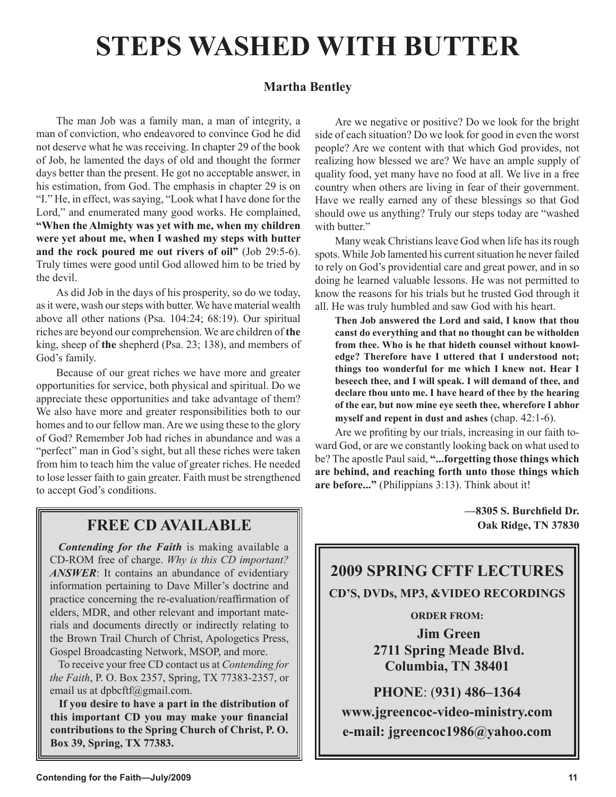# **STEPS WASHED WITH BUTTER**

## **Martha Bentley**

The man Job was a family man, a man of integrity, a man of conviction, who endeavored to convince God he did not deserve what he was receiving. In chapter 29 of the book of Job, he lamented the days of old and thought the former days better than the present. He got no acceptable answer, in his estimation, from God. The emphasis in chapter 29 is on "I." He, in effect, was saying, "Look what I have done for the Lord," and enumerated many good works. He complained, **"When the Almighty was yet with me, when my children were yet about me, when I washed my steps with butter and the rock poured me out rivers of oil"** (Job 29:5-6). Truly times were good until God allowed him to be tried by the devil.

As did Job in the days of his prosperity, so do we today, as it were, wash our steps with butter. We have material wealth above all other nations (Psa. 104:24; 68:19). Our spiritual riches are beyond our comprehension. We are children of **the** king, sheep of **the** shepherd (Psa. 23; 138), and members of God's family.

Because of our great riches we have more and greater opportunities for service, both physical and spiritual. Do we appreciate these opportunities and take advantage of them? We also have more and greater responsibilities both to our homes and to our fellow man. Are we using these to the glory of God? Remember Job had riches in abundance and was a "perfect" man in God's sight, but all these riches were taken from him to teach him the value of greater riches. He needed to lose lesser faith to gain greater. Faith must be strengthened to accept God's conditions.

Are we negative or positive? Do we look for the bright side of each situation? Do we look for good in even the worst people? Are we content with that which God provides, not realizing how blessed we are? We have an ample supply of quality food, yet many have no food at all. We live in a free country when others are living in fear of their government. Have we really earned any of these blessings so that God should owe us anything? Truly our steps today are "washed with butter."

Many weak Christians leave God when life has its rough spots. While Job lamented his current situation he never failed to rely on God's providential care and great power, and in so doing he learned valuable lessons. He was not permitted to know the reasons for his trials but he trusted God through it all. He was truly humbled and saw God with his heart.

**Then Job answered the Lord and said, I know that thou canst do everything and that no thought can be witholden from thee. Who is he that hideth counsel without knowledge? Therefore have I uttered that I understood not; things too wonderful for me which I knew not. Hear I beseech thee, and I will speak. I will demand of thee, and declare thou unto me. I have heard of thee by the hearing of the ear, but now mine eye seeth thee, wherefore I abhor myself and repent in dust and ashes** (chap. 42:1-6).

Are we profiting by our trials, increasing in our faith toward God, or are we constantly looking back on what used to be? The apostle Paul said, **"...forgetting those things which are behind, and reaching forth unto those things which are before..."** (Philippians 3:13). Think about it!

**—8305 S. Burchfield Dr.**

## **FREE CD AVAILABLE**  $\parallel$  0ak Ridge, TN 37830

*Contending for the Faith* is making available a CD-ROM free of charge. *Why is this CD important? ANSWER*: It contains an abundance of evidentiary information pertaining to Dave Miller's doctrine and practice concerning the re-evaluation/reaffirmation of elders, MDR, and other relevant and important materials and documents directly or indirectly relating to the Brown Trail Church of Christ, Apologetics Press, Gospel Broadcasting Network, MSOP, and more.

To receive your free CD contact us at *Contending for the Faith*, P. O. Box 2357, Spring, TX 77383-2357, or email us at dpbcftf@gmail.com.

**If you desire to have a part in the distribution of this important CD you may make your financial contributions to the Spring Church of Christ, P. O. Box 39, Spring, TX 77383.**



**www.jgreencoc-video-ministry.com e-mail: jgreencoc1986@yahoo.com**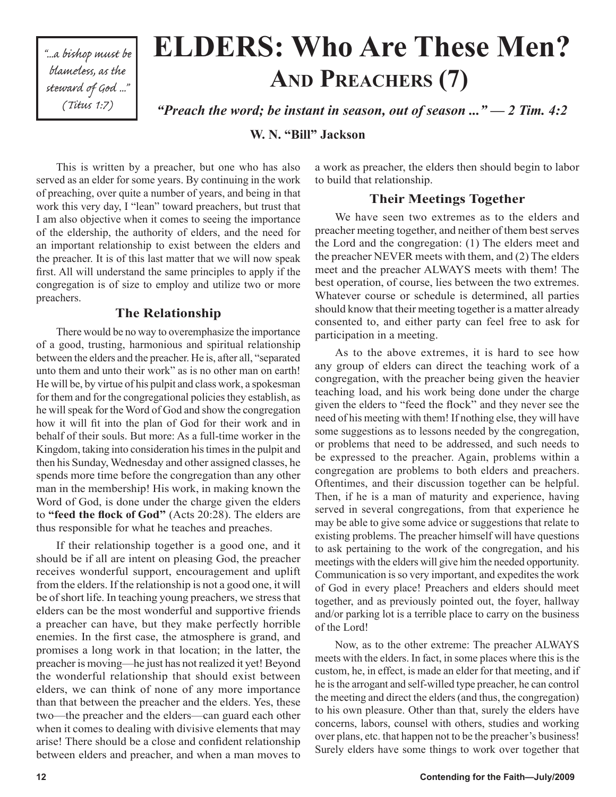"...a bishop must be blameless, as the steward of God ..." (Titus 1:7)

# **ELDERS: Who Are These Men? AND PREACHERS (7)**

*"Preach the word; be instant in season, out of season ..." — 2 Tim. 4:2*

**W. N. "Bill" Jackson**

This is written by a preacher, but one who has also served as an elder for some years. By continuing in the work of preaching, over quite a number of years, and being in that work this very day, I "lean" toward preachers, but trust that I am also objective when it comes to seeing the importance of the eldership, the authority of elders, and the need for an important relationship to exist between the elders and the preacher. It is of this last matter that we will now speak first. All will understand the same principles to apply if the congregation is of size to employ and utilize two or more preachers.

## **The Relationship**

There would be no way to overemphasize the importance of a good, trusting, harmonious and spiritual relationship between the elders and the preacher. He is, after all, "separated unto them and unto their work" as is no other man on earth! He will be, by virtue of his pulpit and class work, a spokesman for them and for the congregational policies they establish, as he will speak for the Word of God and show the congregation how it will fit into the plan of God for their work and in behalf of their souls. But more: As a full-time worker in the Kingdom, taking into consideration his times in the pulpit and then his Sunday, Wednesday and other assigned classes, he spends more time before the congregation than any other man in the membership! His work, in making known the Word of God, is done under the charge given the elders to **"feed the flock of God"** (Acts 20:28). The elders are thus responsible for what he teaches and preaches.

If their relationship together is a good one, and it should be if all are intent on pleasing God, the preacher receives wonderful support, encouragement and uplift from the elders. If the relationship is not a good one, it will be of short life. In teaching young preachers, we stress that elders can be the most wonderful and supportive friends a preacher can have, but they make perfectly horrible enemies. In the first case, the atmosphere is grand, and promises a long work in that location; in the latter, the preacher is moving—he just has not realized it yet! Beyond the wonderful relationship that should exist between elders, we can think of none of any more importance than that between the preacher and the elders. Yes, these two—the preacher and the elders—can guard each other when it comes to dealing with divisive elements that may arise! There should be a close and confident relationship between elders and preacher, and when a man moves to

a work as preacher, the elders then should begin to labor to build that relationship.

## **Their Meetings Together**

We have seen two extremes as to the elders and preacher meeting together, and neither of them best serves the Lord and the congregation: (1) The elders meet and the preacher NEVER meets with them, and (2) The elders meet and the preacher ALWAYS meets with them! The best operation, of course, lies between the two extremes. Whatever course or schedule is determined, all parties should know that their meeting together is a matter already consented to, and either party can feel free to ask for participation in a meeting.

As to the above extremes, it is hard to see how any group of elders can direct the teaching work of a congregation, with the preacher being given the heavier teaching load, and his work being done under the charge given the elders to "feed the flock" and they never see the need of his meeting with them! If nothing else, they will have some suggestions as to lessons needed by the congregation, or problems that need to be addressed, and such needs to be expressed to the preacher. Again, problems within a congregation are problems to both elders and preachers. Oftentimes, and their discussion together can be helpful. Then, if he is a man of maturity and experience, having served in several congregations, from that experience he may be able to give some advice or suggestions that relate to existing problems. The preacher himself will have questions to ask pertaining to the work of the congregation, and his meetings with the elders will give him the needed opportunity. Communication is so very important, and expedites the work of God in every place! Preachers and elders should meet together, and as previously pointed out, the foyer, hallway and/or parking lot is a terrible place to carry on the business of the Lord!

Now, as to the other extreme: The preacher ALWAYS meets with the elders. In fact, in some places where this is the custom, he, in effect, is made an elder for that meeting, and if he is the arrogant and self-willed type preacher, he can control the meeting and direct the elders (and thus, the congregation) to his own pleasure. Other than that, surely the elders have concerns, labors, counsel with others, studies and working over plans, etc. that happen not to be the preacher's business! Surely elders have some things to work over together that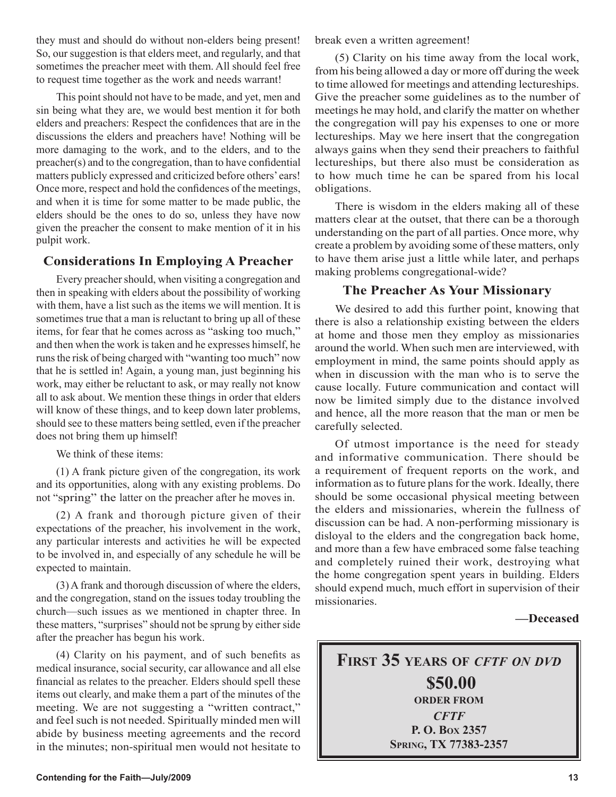they must and should do without non-elders being present! So, our suggestion is that elders meet, and regularly, and that sometimes the preacher meet with them. All should feel free to request time together as the work and needs warrant!

This point should not have to be made, and yet, men and sin being what they are, we would best mention it for both elders and preachers: Respect the confidences that are in the discussions the elders and preachers have! Nothing will be more damaging to the work, and to the elders, and to the preacher(s) and to the congregation, than to have confidential matters publicly expressed and criticized before others' ears! Once more, respect and hold the confidences of the meetings, and when it is time for some matter to be made public, the elders should be the ones to do so, unless they have now given the preacher the consent to make mention of it in his pulpit work.

## **Considerations In Employing A Preacher**

Every preacher should, when visiting a congregation and then in speaking with elders about the possibility of working with them, have a list such as the items we will mention. It is sometimes true that a man is reluctant to bring up all of these items, for fear that he comes across as "asking too much," and then when the work is taken and he expresses himself, he runs the risk of being charged with "wanting too much" now that he is settled in! Again, a young man, just beginning his work, may either be reluctant to ask, or may really not know all to ask about. We mention these things in order that elders will know of these things, and to keep down later problems, should see to these matters being settled, even if the preacher does not bring them up himself!

We think of these items:

(1) A frank picture given of the congregation, its work and its opportunities, along with any existing problems. Do not "spring" the latter on the preacher after he moves in.

(2) A frank and thorough picture given of their expectations of the preacher, his involvement in the work, any particular interests and activities he will be expected to be involved in, and especially of any schedule he will be expected to maintain.

(3) A frank and thorough discussion of where the elders, and the congregation, stand on the issues today troubling the church—such issues as we mentioned in chapter three. In these matters, "surprises" should not be sprung by either side after the preacher has begun his work.

(4) Clarity on his payment, and of such benefits as medical insurance, social security, car allowance and all else financial as relates to the preacher. Elders should spell these items out clearly, and make them a part of the minutes of the meeting. We are not suggesting a "written contract," and feel such is not needed. Spiritually minded men will abide by business meeting agreements and the record in the minutes; non-spiritual men would not hesitate to break even a written agreement!

(5) Clarity on his time away from the local work, from his being allowed a day or more off during the week to time allowed for meetings and attending lectureships. Give the preacher some guidelines as to the number of meetings he may hold, and clarify the matter on whether the congregation will pay his expenses to one or more lectureships. May we here insert that the congregation always gains when they send their preachers to faithful lectureships, but there also must be consideration as to how much time he can be spared from his local obligations.

There is wisdom in the elders making all of these matters clear at the outset, that there can be a thorough understanding on the part of all parties. Once more, why create a problem by avoiding some of these matters, only to have them arise just a little while later, and perhaps making problems congregational-wide?

## **The Preacher As Your Missionary**

We desired to add this further point, knowing that there is also a relationship existing between the elders at home and those men they employ as missionaries around the world. When such men are interviewed, with employment in mind, the same points should apply as when in discussion with the man who is to serve the cause locally. Future communication and contact will now be limited simply due to the distance involved and hence, all the more reason that the man or men be carefully selected.

Of utmost importance is the need for steady and informative communication. There should be a requirement of frequent reports on the work, and information as to future plans for the work. Ideally, there should be some occasional physical meeting between the elders and missionaries, wherein the fullness of discussion can be had. A non-performing missionary is disloyal to the elders and the congregation back home, and more than a few have embraced some false teaching and completely ruined their work, destroying what the home congregation spent years in building. Elders should expend much, much effort in supervision of their missionaries.

### **—Deceased**

**FIRST 35 YEARS OF** *CFTF ON DVD* **\$50.00 ORDER FROM** *CFTF* **P. O. BOX 2357 SPRING, TX 77383-2357**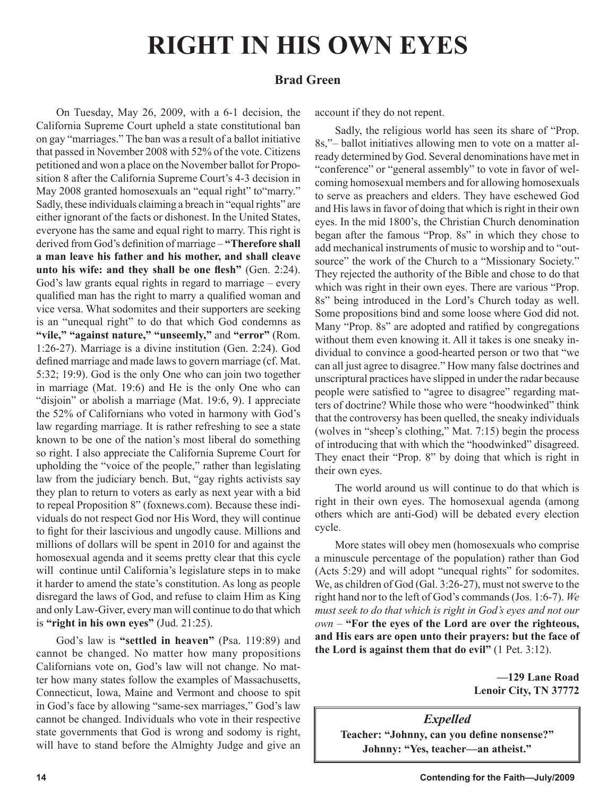# **RIGHT IN HIS OWN EYES**

## **Brad Green**

On Tuesday, May 26, 2009, with a 6-1 decision, the California Supreme Court upheld a state constitutional ban on gay "marriages." The ban was a result of a ballot initiative that passed in November 2008 with 52% of the vote. Citizens petitioned and won a place on the November ballot for Proposition 8 after the California Supreme Court's 4-3 decision in May 2008 granted homosexuals an "equal right" to "marry." Sadly, these individuals claiming a breach in "equal rights" are either ignorant of the facts or dishonest. In the United States, everyone has the same and equal right to marry. This right is derived from God's definition of marriage – **"Therefore shall a man leave his father and his mother, and shall cleave unto his wife: and they shall be one flesh"** (Gen. 2:24). God's law grants equal rights in regard to marriage – every qualified man has the right to marry a qualified woman and vice versa. What sodomites and their supporters are seeking is an "unequal right" to do that which God condemns as **"vile," "against nature," "unseemly,"** and **"error"** (Rom. 1:26-27). Marriage is a divine institution (Gen. 2:24). God defined marriage and made laws to govern marriage (cf. Mat. 5:32; 19:9). God is the only One who can join two together in marriage (Mat. 19:6) and He is the only One who can "disjoin" or abolish a marriage (Mat. 19:6, 9). I appreciate the 52% of Californians who voted in harmony with God's law regarding marriage. It is rather refreshing to see a state known to be one of the nation's most liberal do something so right. I also appreciate the California Supreme Court for upholding the "voice of the people," rather than legislating law from the judiciary bench. But, "gay rights activists say they plan to return to voters as early as next year with a bid to repeal Proposition 8" (foxnews.com). Because these individuals do not respect God nor His Word, they will continue to fight for their lascivious and ungodly cause. Millions and millions of dollars will be spent in 2010 for and against the homosexual agenda and it seems pretty clear that this cycle will continue until California's legislature steps in to make it harder to amend the state's constitution. As long as people disregard the laws of God, and refuse to claim Him as King and only Law-Giver, every man will continue to do that which is **"right in his own eyes"** (Jud. 21:25).

God's law is **"settled in heaven"** (Psa. 119:89) and cannot be changed. No matter how many propositions Californians vote on, God's law will not change. No matter how many states follow the examples of Massachusetts, Connecticut, Iowa, Maine and Vermont and choose to spit in God's face by allowing "same-sex marriages," God's law cannot be changed. Individuals who vote in their respective state governments that God is wrong and sodomy is right, will have to stand before the Almighty Judge and give an account if they do not repent.

Sadly, the religious world has seen its share of "Prop. 8s,"– ballot initiatives allowing men to vote on a matter already determined by God. Several denominations have met in "conference" or "general assembly" to vote in favor of welcoming homosexual members and for allowing homosexuals to serve as preachers and elders. They have eschewed God and His laws in favor of doing that which is right in their own eyes. In the mid 1800's, the Christian Church denomination began after the famous "Prop. 8s" in which they chose to add mechanical instruments of music to worship and to "outsource" the work of the Church to a "Missionary Society." They rejected the authority of the Bible and chose to do that which was right in their own eyes. There are various "Prop. 8s" being introduced in the Lord's Church today as well. Some propositions bind and some loose where God did not. Many "Prop. 8s" are adopted and ratified by congregations without them even knowing it. All it takes is one sneaky individual to convince a good-hearted person or two that "we can all just agree to disagree." How many false doctrines and unscriptural practices have slipped in under the radar because people were satisfied to "agree to disagree" regarding matters of doctrine? While those who were "hoodwinked" think that the controversy has been quelled, the sneaky individuals (wolves in "sheep's clothing," Mat. 7:15) begin the process of introducing that with which the "hoodwinked" disagreed. They enact their "Prop. 8" by doing that which is right in their own eyes.

The world around us will continue to do that which is right in their own eyes. The homosexual agenda (among others which are anti-God) will be debated every election cycle.

More states will obey men (homosexuals who comprise a minuscule percentage of the population) rather than God (Acts 5:29) and will adopt "unequal rights" for sodomites. We, as children of God (Gal. 3:26-27), must not swerve to the right hand nor to the left of God's commands (Jos. 1:6-7). *We must seek to do that which is right in God's eyes and not our own* – **"For the eyes of the Lord are over the righteous, and His ears are open unto their prayers: but the face of the Lord is against them that do evil"** (1 Pet. 3:12).

> **—129 Lane Road Lenoir City, TN 37772**

*Expelled* **Teacher: "Johnny, can you define nonsense?" Johnny: "Yes, teacher—an atheist."**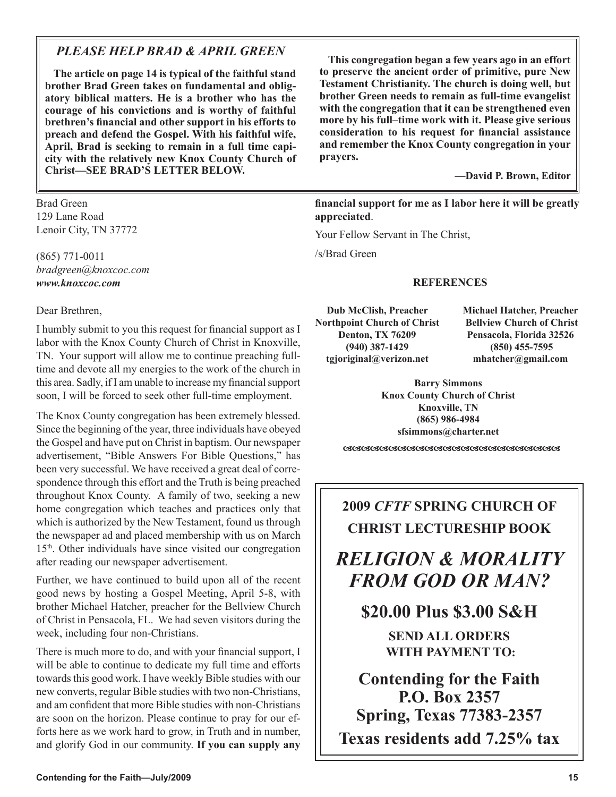## *PLEASE HELP BRAD & APRIL GREEN*

**The article on page 14 is typical of the faithful stand brother Brad Green takes on fundamental and obligatory biblical matters. He is a brother who has the courage of his convictions and is worthy of faithful brethren's financial and other support in his efforts to preach and defend the Gospel. With his faithful wife, April, Brad is seeking to remain in a full time capicity with the relatively new Knox County Church of Christ—SEE BRAD'S LETTER BELOW.** 

Brad Green 129 Lane Road Lenoir City, TN 37772

(865) 771-0011 *bradgreen@knoxcoc.com www.knoxcoc.com*

Dear Brethren,

I humbly submit to you this request for financial support as I labor with the Knox County Church of Christ in Knoxville, TN. Your support will allow me to continue preaching fulltime and devote all my energies to the work of the church in this area. Sadly, if I am unable to increase my financial support soon, I will be forced to seek other full-time employment.

The Knox County congregation has been extremely blessed. Since the beginning of the year, three individuals have obeyed the Gospel and have put on Christ in baptism. Our newspaper advertisement, "Bible Answers For Bible Questions," has been very successful. We have received a great deal of correspondence through this effort and the Truth is being preached throughout Knox County. A family of two, seeking a new home congregation which teaches and practices only that which is authorized by the New Testament, found us through the newspaper ad and placed membership with us on March 15th. Other individuals have since visited our congregation after reading our newspaper advertisement.

Further, we have continued to build upon all of the recent good news by hosting a Gospel Meeting, April 5-8, with brother Michael Hatcher, preacher for the Bellview Church of Christ in Pensacola, FL. We had seven visitors during the week, including four non-Christians.

There is much more to do, and with your financial support, I will be able to continue to dedicate my full time and efforts towards this good work. I have weekly Bible studies with our new converts, regular Bible studies with two non-Christians, and am confident that more Bible studies with non-Christians are soon on the horizon. Please continue to pray for our efforts here as we work hard to grow, in Truth and in number, and glorify God in our community. **If you can supply any** 

**This congregation began a few years ago in an effort to preserve the ancient order of primitive, pure New Testament Christianity. The church is doing well, but brother Green needs to remain as full-time evangelist with the congregation that it can be strengthened even more by his full–time work with it. Please give serious consideration to his request for financial assistance and remember the Knox County congregation in your prayers.**

**—David P. Brown, Editor** 

**financial support for me as I labor here it will be greatly appreciated**.

Your Fellow Servant in The Christ,

/s/Brad Green

## **REFERENCES**

**Dub McClish, Preacher Northpoint Church of Christ Denton, TX 76209 (940) 387-1429 tgjoriginal@verizon.net**

**Michael Hatcher, Preacher Bellview Church of Christ Pensacola, Florida 32526 (850) 455-7595 mhatcher@gmail.com**

**Barry Simmons Knox County Church of Christ Knoxville, TN (865) 986-4984 sfsimmons@charter.net**

## **2009** *CFTF* **SPRING CHURCH OF CHRIST LECTURESHIP BOOK**

## *RELIGION & MORALITY FROM GOD OR MAN?*

**\$20.00 Plus \$3.00 S&H**

**SEND ALL ORDERS WITH PAYMENT TO:**

**Contending for the Faith P.O. Box 2357 Spring, Texas 77383-2357 Texas residents add 7.25% tax**